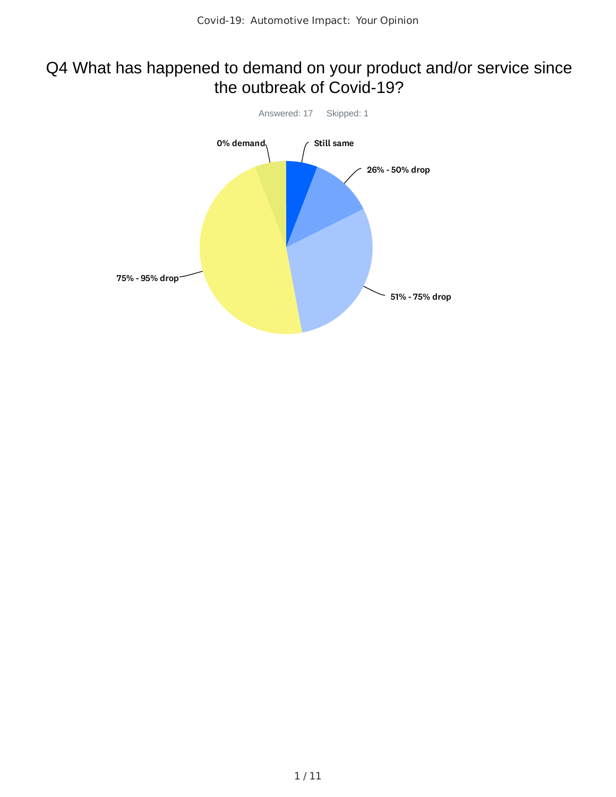### Q4 What has happened to demand on your product and/or service since the outbreak of Covid-19?

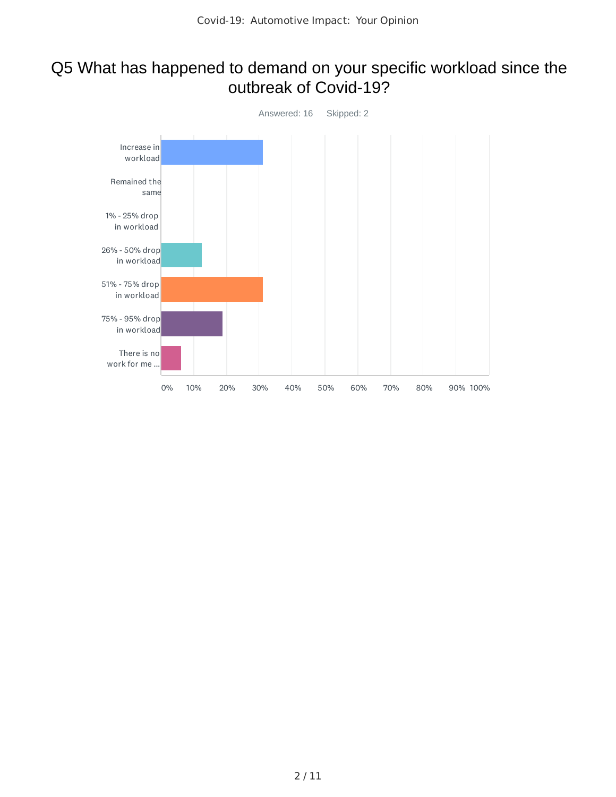#### Q5 What has happened to demand on your specific workload since the outbreak of Covid-19?

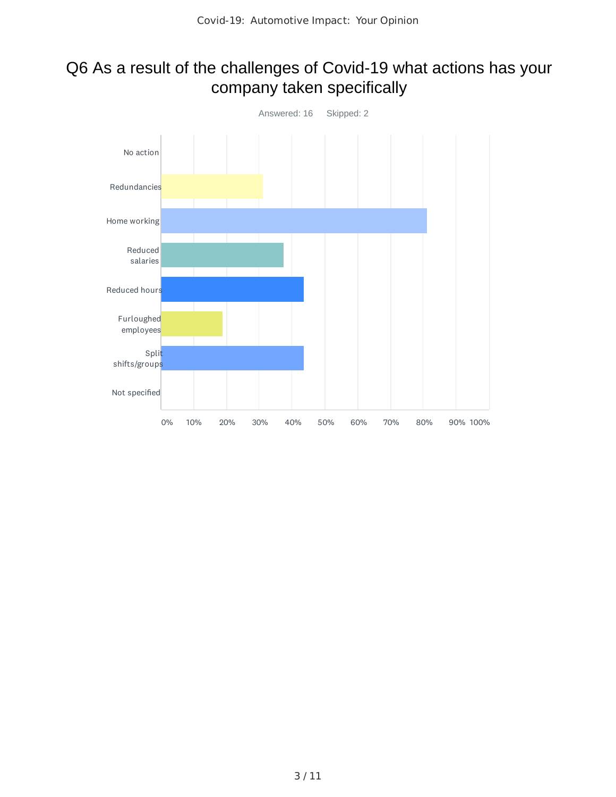### Q6 As a result of the challenges of Covid-19 what actions has your company taken specifically

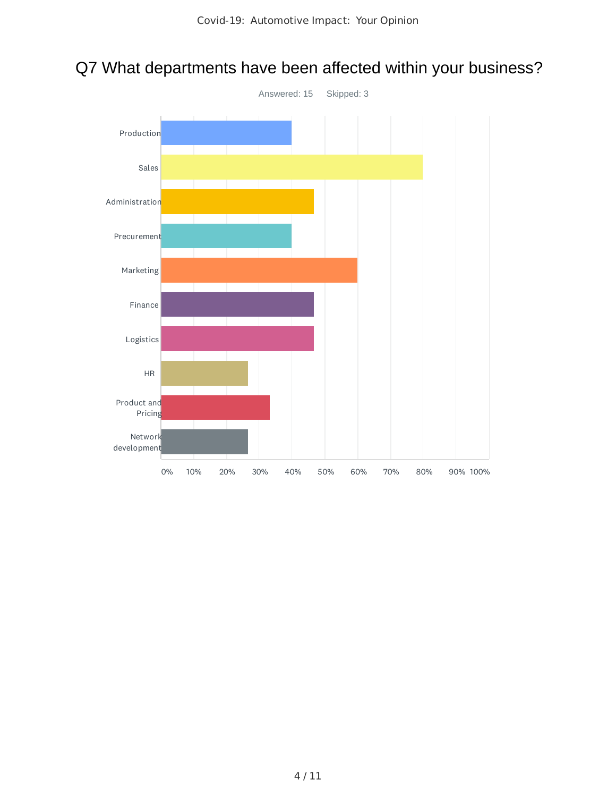

# Q7 What departments have been affected within your business?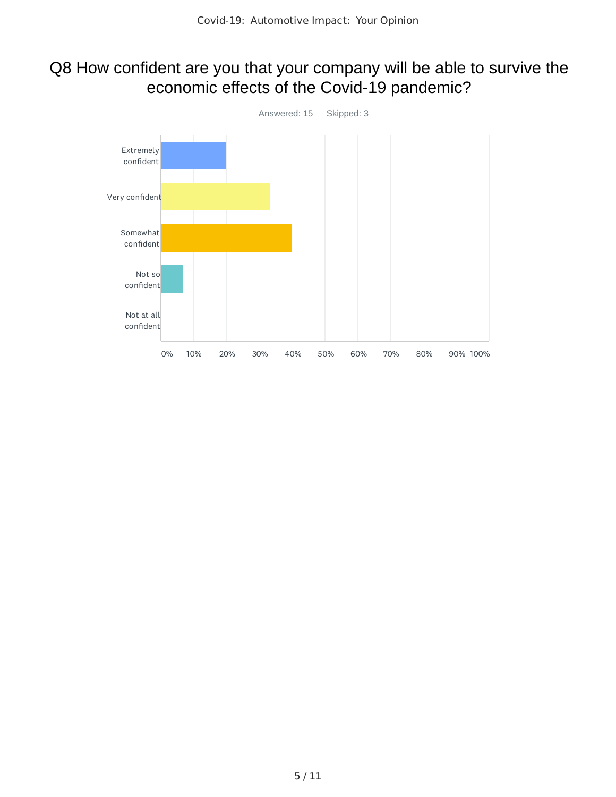### Q8 How confident are you that your company will be able to survive the economic effects of the Covid-19 pandemic?

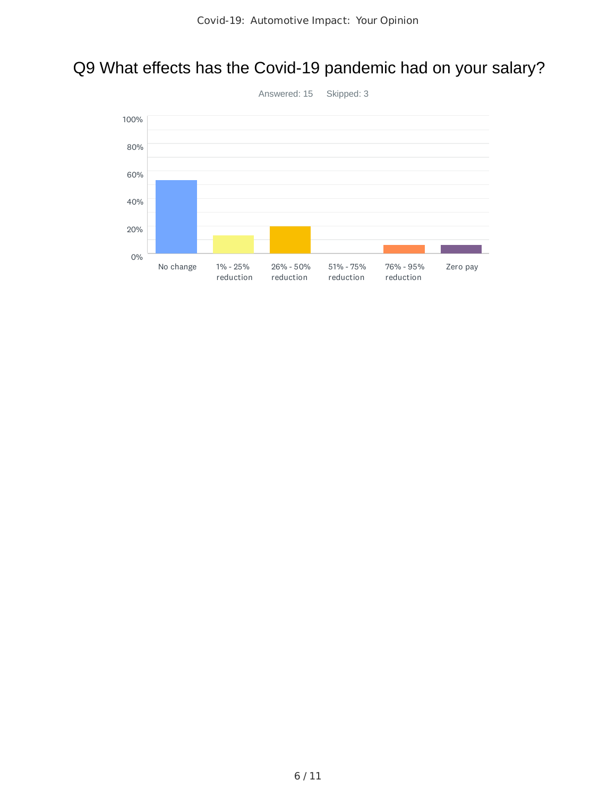## Q9 What effects has the Covid-19 pandemic had on your salary?



6 / 11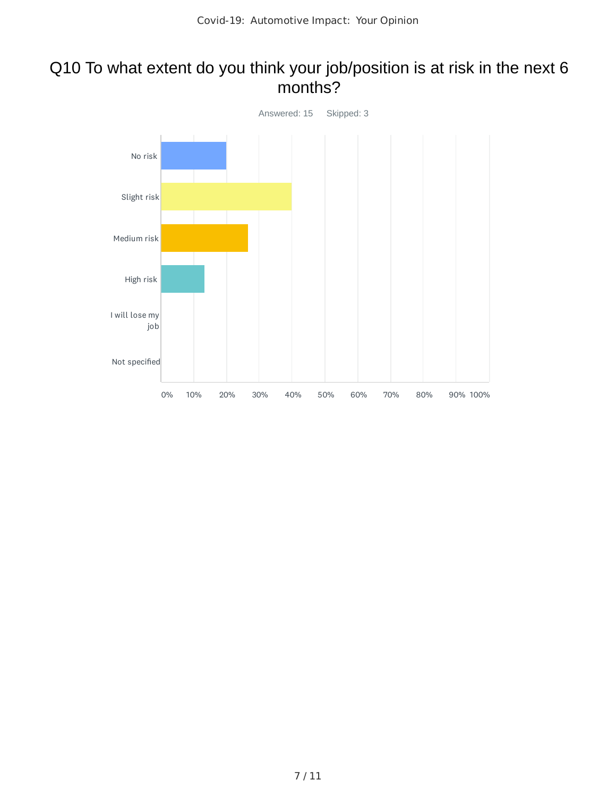#### Q10 To what extent do you think your job/position is at risk in the next 6 months?

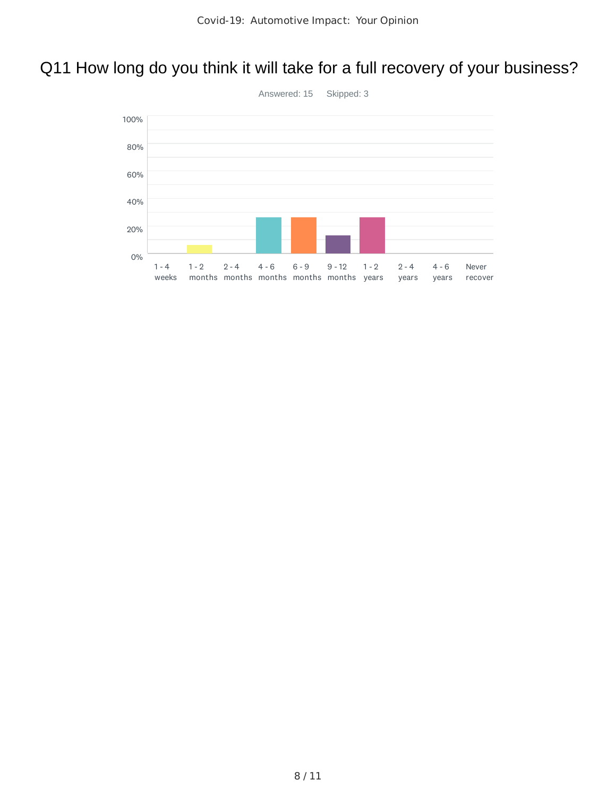## Q11 How long do you think it will take for a full recovery of your business?

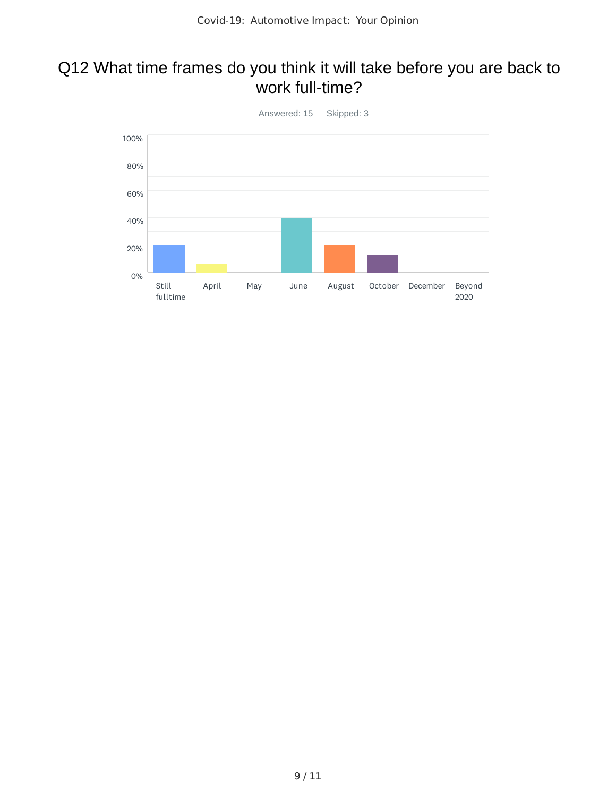### Q12 What time frames do you think it will take before you are back to work full-time?

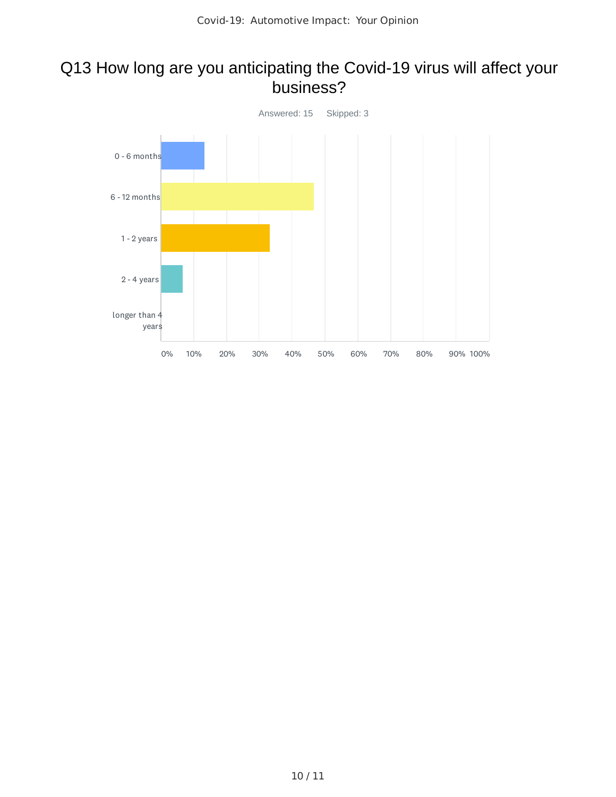#### Q13 How long are you anticipating the Covid-19 virus will affect your business?